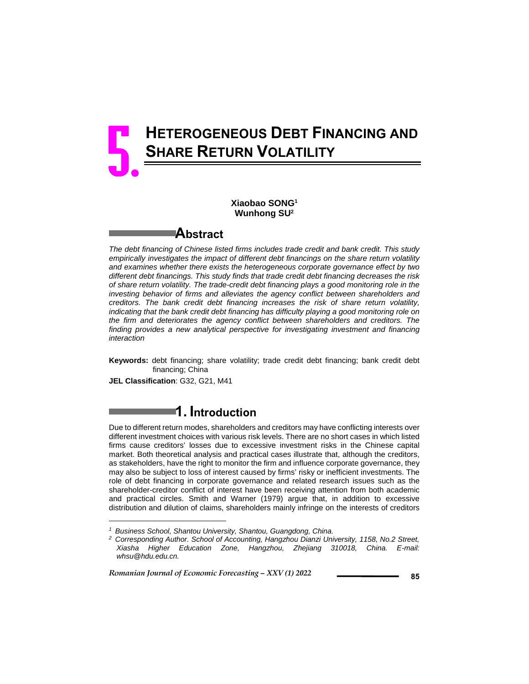# **HETEROGENEOUS DEBT FINANCING AND SHARE RETURN VOLATILITY** 5.

### **Xiaobao SONG1 Wunhong SU2**

### **Abstract**

*The debt financing of Chinese listed firms includes trade credit and bank credit. This study empirically investigates the impact of different debt financings on the share return volatility and examines whether there exists the heterogeneous corporate governance effect by two different debt financings. This study finds that trade credit debt financing decreases the risk of share return volatility. The trade-credit debt financing plays a good monitoring role in the investing behavior of firms and alleviates the agency conflict between shareholders and creditors. The bank credit debt financing increases the risk of share return volatility, indicating that the bank credit debt financing has difficulty playing a good monitoring role on the firm and deteriorates the agency conflict between shareholders and creditors. The finding provides a new analytical perspective for investigating investment and financing interaction* 

**Keywords:** debt financing; share volatility; trade credit debt financing; bank credit debt financing; China

**JEL Classification**: G32, G21, M41

l

# **1. Introduction**

Due to different return modes, shareholders and creditors may have conflicting interests over different investment choices with various risk levels. There are no short cases in which listed firms cause creditors' losses due to excessive investment risks in the Chinese capital market. Both theoretical analysis and practical cases illustrate that, although the creditors, as stakeholders, have the right to monitor the firm and influence corporate governance, they may also be subject to loss of interest caused by firms' risky or inefficient investments. The role of debt financing in corporate governance and related research issues such as the shareholder-creditor conflict of interest have been receiving attention from both academic and practical circles. Smith and Warner (1979) argue that, in addition to excessive distribution and dilution of claims, shareholders mainly infringe on the interests of creditors

*<sup>1</sup> Business School, Shantou University, Shantou, Guangdong, China.* 

*<sup>2</sup> Corresponding Author. School of Accounting, Hangzhou Dianzi University, 1158, No.2 Street, Xiasha Higher Education Zone, Hangzhou, Zhejiang 310018, China. E-mail: whsu@hdu.edu.cn.*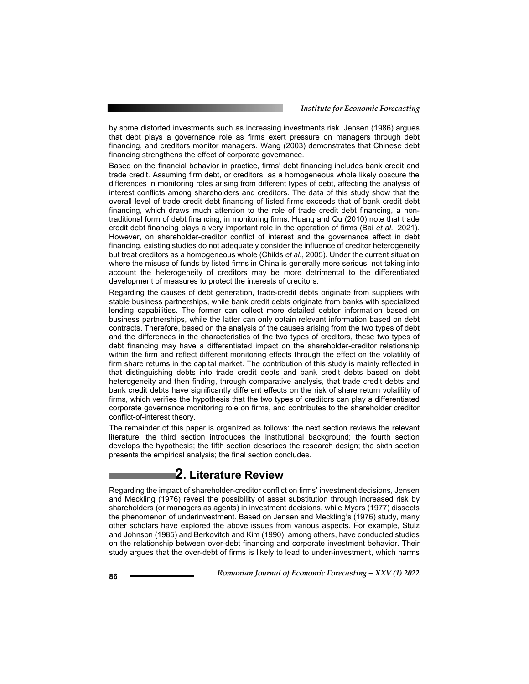by some distorted investments such as increasing investments risk. Jensen (1986) argues that debt plays a governance role as firms exert pressure on managers through debt financing, and creditors monitor managers. Wang (2003) demonstrates that Chinese debt financing strengthens the effect of corporate governance.

Based on the financial behavior in practice, firms' debt financing includes bank credit and trade credit. Assuming firm debt, or creditors, as a homogeneous whole likely obscure the differences in monitoring roles arising from different types of debt, affecting the analysis of interest conflicts among shareholders and creditors. The data of this study show that the overall level of trade credit debt financing of listed firms exceeds that of bank credit debt financing, which draws much attention to the role of trade credit debt financing, a nontraditional form of debt financing, in monitoring firms. Huang and Qu (2010) note that trade credit debt financing plays a very important role in the operation of firms (Bai *et al*., 2021). However, on shareholder-creditor conflict of interest and the governance effect in debt financing, existing studies do not adequately consider the influence of creditor heterogeneity but treat creditors as a homogeneous whole (Childs *et al*., 2005). Under the current situation where the misuse of funds by listed firms in China is generally more serious, not taking into account the heterogeneity of creditors may be more detrimental to the differentiated development of measures to protect the interests of creditors.

Regarding the causes of debt generation, trade-credit debts originate from suppliers with stable business partnerships, while bank credit debts originate from banks with specialized lending capabilities. The former can collect more detailed debtor information based on business partnerships, while the latter can only obtain relevant information based on debt contracts. Therefore, based on the analysis of the causes arising from the two types of debt and the differences in the characteristics of the two types of creditors, these two types of debt financing may have a differentiated impact on the shareholder-creditor relationship within the firm and reflect different monitoring effects through the effect on the volatility of firm share returns in the capital market. The contribution of this study is mainly reflected in that distinguishing debts into trade credit debts and bank credit debts based on debt heterogeneity and then finding, through comparative analysis, that trade credit debts and bank credit debts have significantly different effects on the risk of share return volatility of firms, which verifies the hypothesis that the two types of creditors can play a differentiated corporate governance monitoring role on firms, and contributes to the shareholder creditor conflict-of-interest theory.

The remainder of this paper is organized as follows: the next section reviews the relevant literature; the third section introduces the institutional background; the fourth section develops the hypothesis; the fifth section describes the research design; the sixth section presents the empirical analysis; the final section concludes.

### **2. Literature Review**

Regarding the impact of shareholder-creditor conflict on firms' investment decisions, Jensen and Meckling (1976) reveal the possibility of asset substitution through increased risk by shareholders (or managers as agents) in investment decisions, while Myers (1977) dissects the phenomenon of underinvestment. Based on Jensen and Meckling's (1976) study, many other scholars have explored the above issues from various aspects. For example, Stulz and Johnson (1985) and Berkovitch and Kim (1990), among others, have conducted studies on the relationship between over-debt financing and corporate investment behavior. Their study argues that the over-debt of firms is likely to lead to under-investment, which harms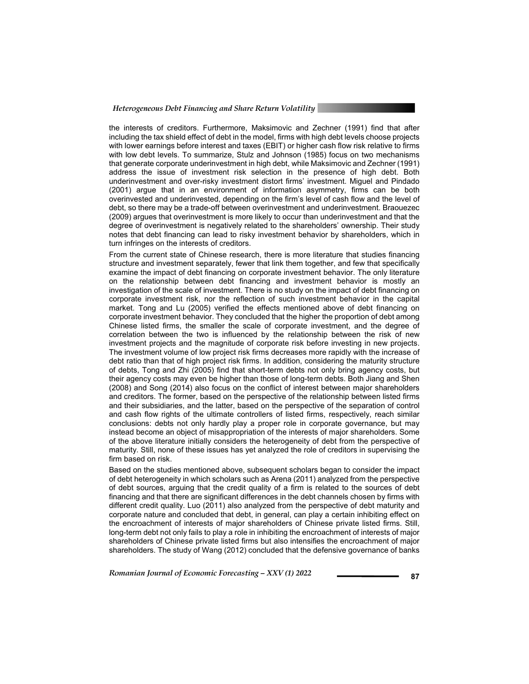#### *Heterogeneous Debt Financing and Share Return Volatility*

the interests of creditors. Furthermore, Maksimovic and Zechner (1991) find that after including the tax shield effect of debt in the model, firms with high debt levels choose projects with lower earnings before interest and taxes (EBIT) or higher cash flow risk relative to firms with low debt levels. To summarize, Stulz and Johnson (1985) focus on two mechanisms that generate corporate underinvestment in high debt, while Maksimovic and Zechner (1991) address the issue of investment risk selection in the presence of high debt. Both underinvestment and over-risky investment distort firms' investment. Miguel and Pindado (2001) argue that in an environment of information asymmetry, firms can be both overinvested and underinvested, depending on the firm's level of cash flow and the level of debt, so there may be a trade-off between overinvestment and underinvestment. Braouezec (2009) argues that overinvestment is more likely to occur than underinvestment and that the degree of overinvestment is negatively related to the shareholders' ownership. Their study notes that debt financing can lead to risky investment behavior by shareholders, which in turn infringes on the interests of creditors.

From the current state of Chinese research, there is more literature that studies financing structure and investment separately, fewer that link them together, and few that specifically examine the impact of debt financing on corporate investment behavior. The only literature on the relationship between debt financing and investment behavior is mostly an investigation of the scale of investment. There is no study on the impact of debt financing on corporate investment risk, nor the reflection of such investment behavior in the capital market. Tong and Lu (2005) verified the effects mentioned above of debt financing on corporate investment behavior. They concluded that the higher the proportion of debt among Chinese listed firms, the smaller the scale of corporate investment, and the degree of correlation between the two is influenced by the relationship between the risk of new investment projects and the magnitude of corporate risk before investing in new projects. The investment volume of low project risk firms decreases more rapidly with the increase of debt ratio than that of high project risk firms. In addition, considering the maturity structure of debts, Tong and Zhi (2005) find that short-term debts not only bring agency costs, but their agency costs may even be higher than those of long-term debts. Both Jiang and Shen (2008) and Song (2014) also focus on the conflict of interest between major shareholders and creditors. The former, based on the perspective of the relationship between listed firms and their subsidiaries, and the latter, based on the perspective of the separation of control and cash flow rights of the ultimate controllers of listed firms, respectively, reach similar conclusions: debts not only hardly play a proper role in corporate governance, but may instead become an object of misappropriation of the interests of major shareholders. Some of the above literature initially considers the heterogeneity of debt from the perspective of maturity. Still, none of these issues has yet analyzed the role of creditors in supervising the firm based on risk.

Based on the studies mentioned above, subsequent scholars began to consider the impact of debt heterogeneity in which scholars such as Arena (2011) analyzed from the perspective of debt sources, arguing that the credit quality of a firm is related to the sources of debt financing and that there are significant differences in the debt channels chosen by firms with different credit quality. Luo (2011) also analyzed from the perspective of debt maturity and corporate nature and concluded that debt, in general, can play a certain inhibiting effect on the encroachment of interests of major shareholders of Chinese private listed firms. Still, long-term debt not only fails to play a role in inhibiting the encroachment of interests of major shareholders of Chinese private listed firms but also intensifies the encroachment of major shareholders. The study of Wang (2012) concluded that the defensive governance of banks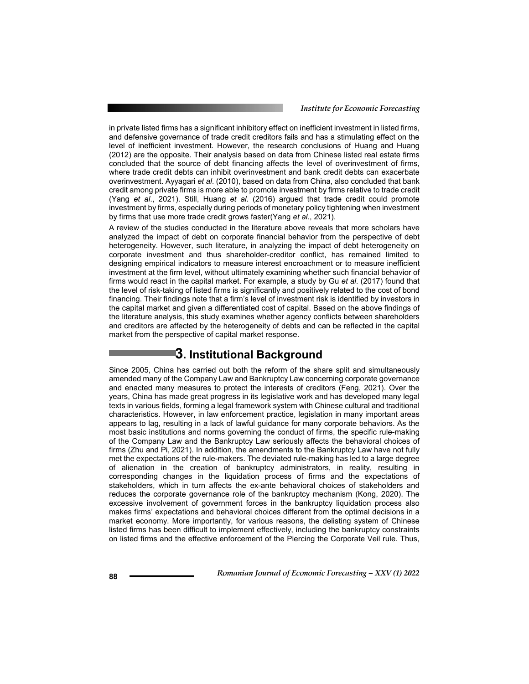in private listed firms has a significant inhibitory effect on inefficient investment in listed firms, and defensive governance of trade credit creditors fails and has a stimulating effect on the level of inefficient investment. However, the research conclusions of Huang and Huang (2012) are the opposite. Their analysis based on data from Chinese listed real estate firms concluded that the source of debt financing affects the level of overinvestment of firms, where trade credit debts can inhibit overinvestment and bank credit debts can exacerbate overinvestment. Ayyagari *et al*. (2010), based on data from China, also concluded that bank credit among private firms is more able to promote investment by firms relative to trade credit (Yang *et al*., 2021). Still, Huang *et al*. (2016) argued that trade credit could promote investment by firms, especially during periods of monetary policy tightening when investment by firms that use more trade credit grows faster(Yang *et al*., 2021).

A review of the studies conducted in the literature above reveals that more scholars have analyzed the impact of debt on corporate financial behavior from the perspective of debt heterogeneity. However, such literature, in analyzing the impact of debt heterogeneity on corporate investment and thus shareholder-creditor conflict, has remained limited to designing empirical indicators to measure interest encroachment or to measure inefficient investment at the firm level, without ultimately examining whether such financial behavior of firms would react in the capital market. For example, a study by Gu *et al*. (2017) found that the level of risk-taking of listed firms is significantly and positively related to the cost of bond financing. Their findings note that a firm's level of investment risk is identified by investors in the capital market and given a differentiated cost of capital. Based on the above findings of the literature analysis, this study examines whether agency conflicts between shareholders and creditors are affected by the heterogeneity of debts and can be reflected in the capital market from the perspective of capital market response.

### **3. Institutional Background**

Since 2005, China has carried out both the reform of the share split and simultaneously amended many of the Company Law and Bankruptcy Law concerning corporate governance and enacted many measures to protect the interests of creditors (Feng, 2021). Over the years, China has made great progress in its legislative work and has developed many legal texts in various fields, forming a legal framework system with Chinese cultural and traditional characteristics. However, in law enforcement practice, legislation in many important areas appears to lag, resulting in a lack of lawful guidance for many corporate behaviors. As the most basic institutions and norms governing the conduct of firms, the specific rule-making of the Company Law and the Bankruptcy Law seriously affects the behavioral choices of firms (Zhu and Pi, 2021). In addition, the amendments to the Bankruptcy Law have not fully met the expectations of the rule-makers. The deviated rule-making has led to a large degree of alienation in the creation of bankruptcy administrators, in reality, resulting in corresponding changes in the liquidation process of firms and the expectations of stakeholders, which in turn affects the ex-ante behavioral choices of stakeholders and reduces the corporate governance role of the bankruptcy mechanism (Kong, 2020). The excessive involvement of government forces in the bankruptcy liquidation process also makes firms' expectations and behavioral choices different from the optimal decisions in a market economy. More importantly, for various reasons, the delisting system of Chinese listed firms has been difficult to implement effectively, including the bankruptcy constraints on listed firms and the effective enforcement of the Piercing the Corporate Veil rule. Thus,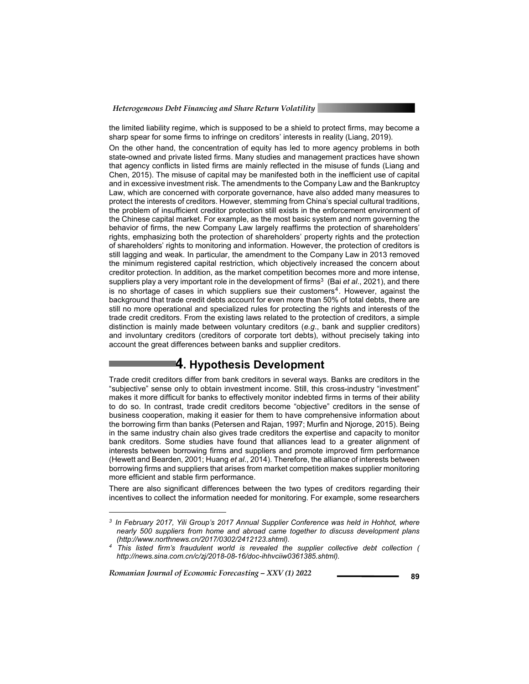*Heterogeneous Debt Financing and Share Return Volatility* 

the limited liability regime, which is supposed to be a shield to protect firms, may become a sharp spear for some firms to infringe on creditors' interests in reality (Liang, 2019).

On the other hand, the concentration of equity has led to more agency problems in both state-owned and private listed firms. Many studies and management practices have shown that agency conflicts in listed firms are mainly reflected in the misuse of funds (Liang and Chen, 2015). The misuse of capital may be manifested both in the inefficient use of capital and in excessive investment risk. The amendments to the Company Law and the Bankruptcy Law, which are concerned with corporate governance, have also added many measures to protect the interests of creditors. However, stemming from China's special cultural traditions, the problem of insufficient creditor protection still exists in the enforcement environment of the Chinese capital market. For example, as the most basic system and norm governing the behavior of firms, the new Company Law largely reaffirms the protection of shareholders' rights, emphasizing both the protection of shareholders' property rights and the protection of shareholders' rights to monitoring and information. However, the protection of creditors is still lagging and weak. In particular, the amendment to the Company Law in 2013 removed the minimum registered capital restriction, which objectively increased the concern about creditor protection. In addition, as the market competition becomes more and more intense, suppliers play a very important role in the development of firms<sup>3</sup> (Bai *et al.*, 2021), and there is no shortage of cases in which suppliers sue their customers<sup>4</sup>. However, against the background that trade credit debts account for even more than 50% of total debts, there are still no more operational and specialized rules for protecting the rights and interests of the trade credit creditors. From the existing laws related to the protection of creditors, a simple distinction is mainly made between voluntary creditors (*e.g*., bank and supplier creditors) and involuntary creditors (creditors of corporate tort debts), without precisely taking into account the great differences between banks and supplier creditors.

### **4. Hypothesis Development**

Trade credit creditors differ from bank creditors in several ways. Banks are creditors in the "subjective" sense only to obtain investment income. Still, this cross-industry "investment" makes it more difficult for banks to effectively monitor indebted firms in terms of their ability to do so. In contrast, trade credit creditors become "objective" creditors in the sense of business cooperation, making it easier for them to have comprehensive information about the borrowing firm than banks (Petersen and Rajan, 1997; Murfin and Njoroge, 2015). Being in the same industry chain also gives trade creditors the expertise and capacity to monitor bank creditors. Some studies have found that alliances lead to a greater alignment of interests between borrowing firms and suppliers and promote improved firm performance (Hewett and Bearden, 2001; Huang *et al*., 2014). Therefore, the alliance of interests between borrowing firms and suppliers that arises from market competition makes supplier monitoring more efficient and stable firm performance.

There are also significant differences between the two types of creditors regarding their incentives to collect the information needed for monitoring. For example, some researchers

*Romanian Journal of Economic Forecasting – XXV (1) 2022* **2008 89** 

l

*<sup>3</sup> In February 2017, Yili Group's 2017 Annual Supplier Conference was held in Hohhot, where nearly 500 suppliers from home and abroad came together to discuss development plans (http://www.northnews.cn/2017/0302/2412123.shtml). 4 This listed firm's fraudulent world is revealed the supplier collective debt collection (* 

*http://news.sina.com.cn/c/zj/2018-08-16/doc-ihhvciiw0361385.shtml).*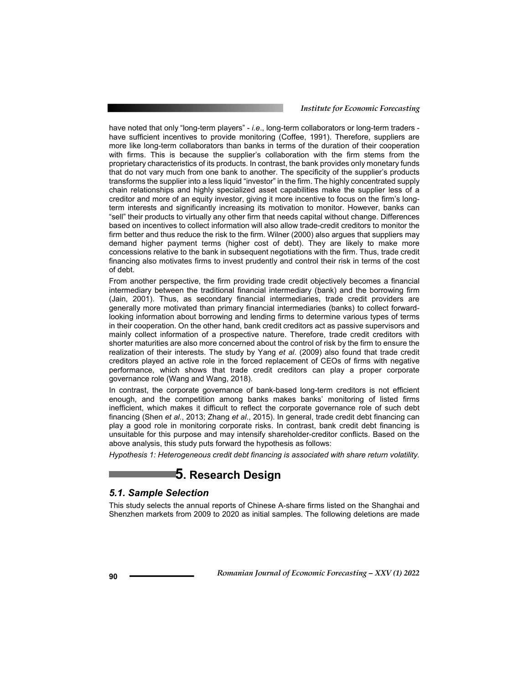have noted that only "long-term players" - *i.e*., long-term collaborators or long-term traders have sufficient incentives to provide monitoring (Coffee, 1991). Therefore, suppliers are more like long-term collaborators than banks in terms of the duration of their cooperation with firms. This is because the supplier's collaboration with the firm stems from the proprietary characteristics of its products. In contrast, the bank provides only monetary funds that do not vary much from one bank to another. The specificity of the supplier's products transforms the supplier into a less liquid "investor" in the firm. The highly concentrated supply chain relationships and highly specialized asset capabilities make the supplier less of a creditor and more of an equity investor, giving it more incentive to focus on the firm's longterm interests and significantly increasing its motivation to monitor. However, banks can "sell" their products to virtually any other firm that needs capital without change. Differences based on incentives to collect information will also allow trade-credit creditors to monitor the firm better and thus reduce the risk to the firm. Wilner (2000) also argues that suppliers may demand higher payment terms (higher cost of debt). They are likely to make more concessions relative to the bank in subsequent negotiations with the firm. Thus, trade credit financing also motivates firms to invest prudently and control their risk in terms of the cost of debt.

From another perspective, the firm providing trade credit objectively becomes a financial intermediary between the traditional financial intermediary (bank) and the borrowing firm (Jain, 2001). Thus, as secondary financial intermediaries, trade credit providers are generally more motivated than primary financial intermediaries (banks) to collect forwardlooking information about borrowing and lending firms to determine various types of terms in their cooperation. On the other hand, bank credit creditors act as passive supervisors and mainly collect information of a prospective nature. Therefore, trade credit creditors with shorter maturities are also more concerned about the control of risk by the firm to ensure the realization of their interests. The study by Yang *et al*. (2009) also found that trade credit creditors played an active role in the forced replacement of CEOs of firms with negative performance, which shows that trade credit creditors can play a proper corporate governance role (Wang and Wang, 2018).

In contrast, the corporate governance of bank-based long-term creditors is not efficient enough, and the competition among banks makes banks' monitoring of listed firms inefficient, which makes it difficult to reflect the corporate governance role of such debt financing (Shen *et al*., 2013; Zhang *et al*., 2015). In general, trade credit debt financing can play a good role in monitoring corporate risks. In contrast, bank credit debt financing is unsuitable for this purpose and may intensify shareholder-creditor conflicts. Based on the above analysis, this study puts forward the hypothesis as follows:

*Hypothesis 1: Heterogeneous credit debt financing is associated with share return volatility.* 

### **5. Research Design**

### *5.1. Sample Selection*

This study selects the annual reports of Chinese A-share firms listed on the Shanghai and Shenzhen markets from 2009 to 2020 as initial samples. The following deletions are made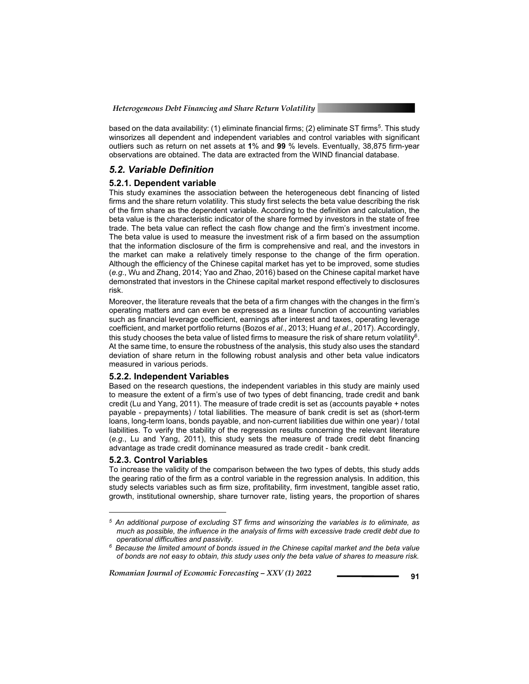based on the data availability: (1) eliminate financial firms; (2) eliminate ST firms<sup>5</sup>. This study winsorizes all dependent and independent variables and control variables with significant outliers such as return on net assets at **1**% and **99** % levels. Eventually, 38,875 firm-year observations are obtained. The data are extracted from the WIND financial database.

### *5.2. Variable Definition*

#### **5.2.1. Dependent variable**

This study examines the association between the heterogeneous debt financing of listed firms and the share return volatility. This study first selects the beta value describing the risk of the firm share as the dependent variable. According to the definition and calculation, the beta value is the characteristic indicator of the share formed by investors in the state of free trade. The beta value can reflect the cash flow change and the firm's investment income. The beta value is used to measure the investment risk of a firm based on the assumption that the information disclosure of the firm is comprehensive and real, and the investors in the market can make a relatively timely response to the change of the firm operation. Although the efficiency of the Chinese capital market has yet to be improved, some studies (*e.g*., Wu and Zhang, 2014; Yao and Zhao, 2016) based on the Chinese capital market have demonstrated that investors in the Chinese capital market respond effectively to disclosures risk.

Moreover, the literature reveals that the beta of a firm changes with the changes in the firm's operating matters and can even be expressed as a linear function of accounting variables such as financial leverage coefficient, earnings after interest and taxes, operating leverage coefficient, and market portfolio returns (Bozos *et al*., 2013; Huang *et al*., 2017). Accordingly, this study chooses the beta value of listed firms to measure the risk of share return volatility<sup>6</sup>. At the same time, to ensure the robustness of the analysis, this study also uses the standard deviation of share return in the following robust analysis and other beta value indicators measured in various periods.

#### **5.2.2. Independent Variables**

Based on the research questions, the independent variables in this study are mainly used to measure the extent of a firm's use of two types of debt financing, trade credit and bank credit (Lu and Yang, 2011). The measure of trade credit is set as (accounts payable + notes payable - prepayments) / total liabilities. The measure of bank credit is set as (short-term loans, long-term loans, bonds payable, and non-current liabilities due within one year) / total liabilities. To verify the stability of the regression results concerning the relevant literature (*e.g*., Lu and Yang, 2011), this study sets the measure of trade credit debt financing advantage as trade credit dominance measured as trade credit - bank credit.

### **5.2.3. Control Variables**

l

To increase the validity of the comparison between the two types of debts, this study adds the gearing ratio of the firm as a control variable in the regression analysis. In addition, this study selects variables such as firm size, profitability, firm investment, tangible asset ratio, growth, institutional ownership, share turnover rate, listing years, the proportion of shares

*<sup>5</sup> An additional purpose of excluding ST firms and winsorizing the variables is to eliminate, as much as possible, the influence in the analysis of firms with excessive trade credit debt due to operational difficulties and passivity. 6 Because the limited amount of bonds issued in the Chinese capital market and the beta value* 

*of bonds are not easy to obtain, this study uses only the beta value of shares to measure risk.*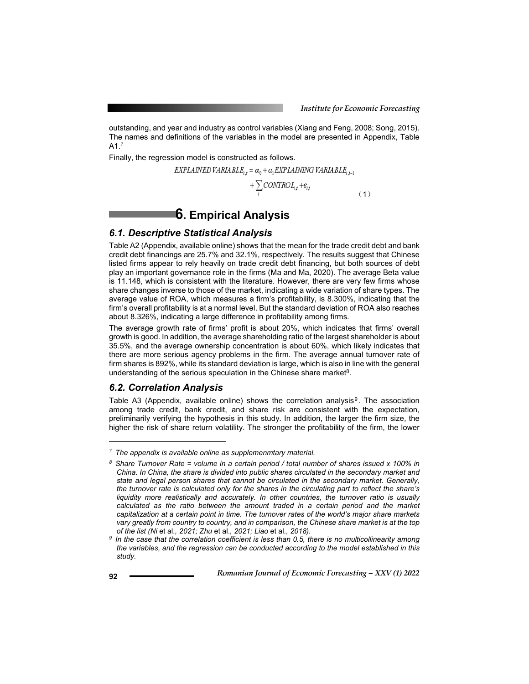outstanding, and year and industry as control variables (Xiang and Feng, 2008; Song, 2015). The names and definitions of the variables in the model are presented in Appendix, Table  $A1<sup>7</sup>$ 

Finally, the regression model is constructed as follows.

$$
EXPLANED VARIA BLE_{i,t} = \alpha_0 + \alpha_1 EXPLANING VARIABLE_{i,t-1}
$$

$$
+\sum_{i}CONTROL_{i,j}+ \varepsilon_{i,j} \tag{1}
$$

### **6. Empirical Analysis**

### *6.1. Descriptive Statistical Analysis*

Table A2 (Appendix, available online) shows that the mean for the trade credit debt and bank credit debt financings are 25.7% and 32.1%, respectively. The results suggest that Chinese listed firms appear to rely heavily on trade credit debt financing, but both sources of debt play an important governance role in the firms (Ma and Ma, 2020). The average Beta value is 11.148, which is consistent with the literature. However, there are very few firms whose share changes inverse to those of the market, indicating a wide variation of share types. The average value of ROA, which measures a firm's profitability, is 8.300%, indicating that the firm's overall profitability is at a normal level. But the standard deviation of ROA also reaches about 8.326%, indicating a large difference in profitability among firms.

The average growth rate of firms' profit is about 20%, which indicates that firms' overall growth is good. In addition, the average shareholding ratio of the largest shareholder is about 35.5%, and the average ownership concentration is about 60%, which likely indicates that there are more serious agency problems in the firm. The average annual turnover rate of firm shares is 892%, while its standard deviation is large, which is also in line with the general understanding of the serious speculation in the Chinese share market $8$ .

### *6.2. Correlation Analysis*

Table A3 (Appendix, available online) shows the correlation analysis $9$ . The association among trade credit, bank credit, and share risk are consistent with the expectation, preliminarily verifying the hypothesis in this study. In addition, the larger the firm size, the higher the risk of share return volatility. The stronger the profitability of the firm, the lower

l

*<sup>7</sup> The appendix is available online as supplemenmtary material.* 

*<sup>8</sup> Share Turnover Rate = volume in a certain period / total number of shares issued x 100% in China. In China, the share is divided into public shares circulated in the secondary market and state and legal person shares that cannot be circulated in the secondary market. Generally, the turnover rate is calculated only for the shares in the circulating part to reflect the share's liquidity more realistically and accurately. In other countries, the turnover ratio is usually calculated as the ratio between the amount traded in a certain period and the market capitalization at a certain point in time. The turnover rates of the world's major share markets vary greatly from country to country, and in comparison, the Chinese share market is at the top* 

<sup>&</sup>lt;sup>9</sup> In the case that the correlation coefficient is less than 0.5, there is no multicollinearity among *the variables, and the regression can be conducted according to the model established in this study.*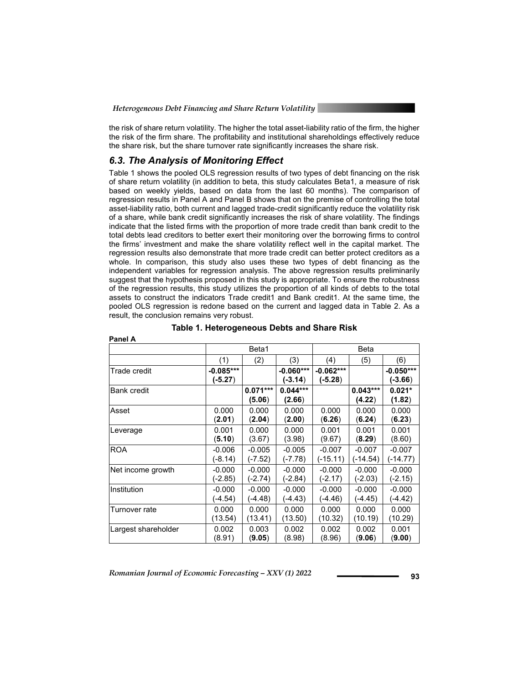the risk of share return volatility. The higher the total asset-liability ratio of the firm, the higher the risk of the firm share. The profitability and institutional shareholdings effectively reduce the share risk, but the share turnover rate significantly increases the share risk.

### *6.3. The Analysis of Monitoring Effect*

**Panel A** 

Table 1 shows the pooled OLS regression results of two types of debt financing on the risk of share return volatility (in addition to beta, this study calculates Beta1, a measure of risk based on weekly yields, based on data from the last 60 months). The comparison of regression results in Panel A and Panel B shows that on the premise of controlling the total asset-liability ratio, both current and lagged trade-credit significantly reduce the volatility risk of a share, while bank credit significantly increases the risk of share volatility. The findings indicate that the listed firms with the proportion of more trade credit than bank credit to the total debts lead creditors to better exert their monitoring over the borrowing firms to control the firms' investment and make the share volatility reflect well in the capital market. The regression results also demonstrate that more trade credit can better protect creditors as a whole. In comparison, this study also uses these two types of debt financing as the independent variables for regression analysis. The above regression results preliminarily suggest that the hypothesis proposed in this study is appropriate. To ensure the robustness of the regression results, this study utilizes the proportion of all kinds of debts to the total assets to construct the indicators Trade credit1 and Bank credit1. At the same time, the pooled OLS regression is redone based on the current and lagged data in Table 2. As a result, the conclusion remains very robust.

|                     |             | Beta1      |             |             | Beta<br>(5)<br>(6)<br>$-0.050***$<br>(-3.66)<br>$0.021*$<br>(4.22)<br>(1.82)<br>0.000<br>0.000<br>(6.24)<br>(6.23)<br>0.001<br>0.001<br>(8.29)<br>(8.60)<br>$-0.007$<br>$-0.007$<br>(-14.54)<br>(-14.77) |          |
|---------------------|-------------|------------|-------------|-------------|----------------------------------------------------------------------------------------------------------------------------------------------------------------------------------------------------------|----------|
|                     | (1)         | (2)        | (3)         | (4)         |                                                                                                                                                                                                          |          |
| Trade credit        | $-0.085***$ |            | $-0.060***$ | $-0.062***$ |                                                                                                                                                                                                          |          |
|                     | $(-5.27)$   |            | $-3.14)$    | $(-5.28)$   |                                                                                                                                                                                                          |          |
| <b>Bank credit</b>  |             | $0.071***$ | $0.044***$  |             | $0.043***$                                                                                                                                                                                               |          |
|                     |             | (5.06)     | (2.66)      |             |                                                                                                                                                                                                          |          |
| Asset               | 0.000       | 0.000      | 0.000       | 0.000       |                                                                                                                                                                                                          |          |
|                     | (2.01)      | (2.04)     | (2.00)      | (6.26)      |                                                                                                                                                                                                          |          |
| Leverage            | 0.001       | 0.000      | 0.000       | 0.001       |                                                                                                                                                                                                          |          |
|                     | (5.10)      | (3.67)     | (3.98)      | (9.67)      |                                                                                                                                                                                                          |          |
| <b>ROA</b>          | $-0.006$    | $-0.005$   | $-0.005$    | $-0.007$    |                                                                                                                                                                                                          |          |
|                     | $(-8.14)$   | (-7.52)    | $(-7.78)$   | $(-15.11)$  |                                                                                                                                                                                                          |          |
| Net income growth   | $-0.000$    | $-0.000$   | $-0.000$    | $-0.000$    | $-0.000$                                                                                                                                                                                                 | $-0.000$ |
|                     | (-2.85)     | (-2.74)    | (-2.84)     | (-2.17)     | (-2.03)                                                                                                                                                                                                  | (-2.15)  |
| Institution         | $-0.000$    | $-0.000$   | $-0.000$    | $-0.000$    | $-0.000$                                                                                                                                                                                                 | $-0.000$ |
|                     | (-4.54)     | (-4.48)    | (-4.43)     | (-4.46)     | (-4.45)                                                                                                                                                                                                  | (-4.42)  |
| Turnover rate       | 0.000       | 0.000      | 0.000       | 0.000       | 0.000                                                                                                                                                                                                    | 0.000    |
|                     | (13.54)     | (13.41)    | (13.50)     | (10.32)     | (10.19)                                                                                                                                                                                                  | (10.29)  |
| Largest shareholder | 0.002       | 0.003      | 0.002       | 0.002       | 0.002                                                                                                                                                                                                    | 0.001    |
|                     | (8.91)      | (9.05)     | (8.98)      | (8.96)      | (9.06)                                                                                                                                                                                                   | (9.00)   |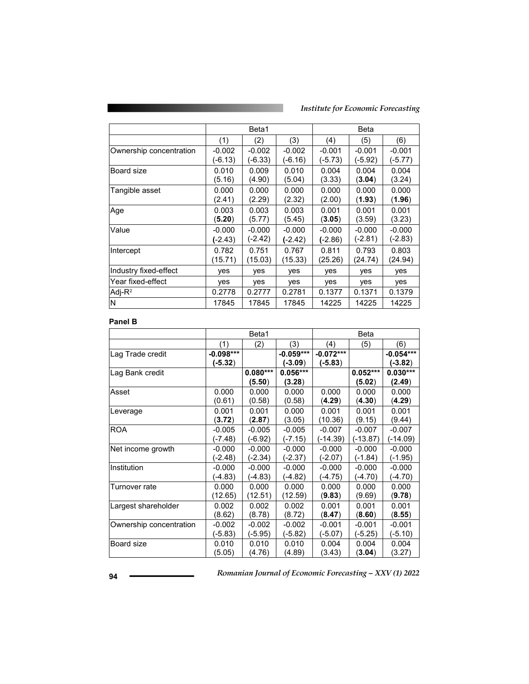*Institute for Economic Forecasting*

|                         |           | Beta1    |           |           | Beta     |          |  |  |
|-------------------------|-----------|----------|-----------|-----------|----------|----------|--|--|
|                         | (1)       | (2)      | (3)       | (4)       | (5)      | (6)      |  |  |
| Ownership concentration | $-0.002$  | $-0.002$ | $-0.002$  | $-0.001$  | $-0.001$ | $-0.001$ |  |  |
|                         | (-6.13)   | (-6.33)  | $(-6.16)$ | (-5.73)   | (-5.92)  | (-5.77)  |  |  |
| Board size              | 0.010     | 0.009    | 0.010     | 0.004     | 0.004    | 0.004    |  |  |
|                         | (5.16)    | (4.90)   | (5.04)    | (3.33)    | (3.04)   | (3.24)   |  |  |
| Tangible asset          | 0.000     | 0.000    | 0.000     | 0.000     | 0.000    | 0.000    |  |  |
|                         | (2.41)    | (2.29)   | (2.32)    | (2.00)    | (1.93)   | (1.96)   |  |  |
| Age                     | 0.003     | 0.003    | 0.003     | 0.001     | 0.001    | 0.001    |  |  |
|                         | (5.20)    | (5.77)   | (5.45)    | (3.05)    | (3.59)   | (3.23)   |  |  |
| Value                   | $-0.000$  | $-0.000$ | $-0.000$  | $-0.000$  | $-0.000$ | $-0.000$ |  |  |
|                         | $(-2.43)$ | (-2.42)  | $(-2.42)$ | $(-2.86)$ | (-2.81)  | (-2.83)  |  |  |
| Intercept               | 0.782     | 0.751    | 0.767     | 0.811     | 0.793    | 0.803    |  |  |
|                         | (15.71)   | (15.03)  | (15.33)   | (25.26)   | (24.74)  | (24.94)  |  |  |
| Industry fixed-effect   | yes       | yes      | yes       | yes       | yes      | yes      |  |  |
| Year fixed-effect       | yes       | yes      | yes       | yes       | yes      | yes      |  |  |
| Adj- $R^2$              | 0.2778    | 0.2777   | 0.2781    | 0.1377    | 0.1371   | 0.1379   |  |  |
| ΙN                      | 17845     | 17845    | 17845     | 14225     | 14225    | 14225    |  |  |

#### **Panel B**

|                         |             | Beta1      |             | Beta        |            |             |  |
|-------------------------|-------------|------------|-------------|-------------|------------|-------------|--|
|                         | (1)         | (2)        | (3)         | (4)         | (5)        | (6)         |  |
| Lag Trade credit        | $-0.098***$ |            | $-0.059***$ | $-0.072***$ |            | $-0.054***$ |  |
|                         | $(-5.32)$   |            | $(-3.09)$   | $(-5.83)$   |            | $(-3.82)$   |  |
| Lag Bank credit         |             | $0.080***$ | $0.056***$  |             | $0.052***$ | $0.030***$  |  |
|                         |             | (5.50)     | (3.28)      |             | (5.02)     | (2.49)      |  |
| Asset                   | 0.000       | 0.000      | 0.000       | 0.000       | 0.000      | 0.000       |  |
|                         | (0.61)      | (0.58)     | (0.58)      | (4.29)      | (4.30)     | (4.29)      |  |
| Leverage                | 0.001       | 0.001      | 0.000       | 0.001       | 0.001      | 0.001       |  |
|                         | (3.72)      | (2.87)     | (3.05)      | (10.36)     | (9.15)     | (9.44)      |  |
| <b>ROA</b>              | $-0.005$    | $-0.005$   | $-0.005$    | $-0.007$    | $-0.007$   | $-0.007$    |  |
|                         | (-7.48)     | (-6.92)    | $(-7.15)$   | $(-14.39)$  | $(-13.87)$ | $(-14.09)$  |  |
| Net income growth       | $-0.000$    | $-0.000$   | $-0.000$    | $-0.000$    | $-0.000$   | $-0.000$    |  |
|                         | (-2.48)     | (-2.34)    | $(-2.37)$   | $(-2.07)$   | $(-1.84)$  | (-1.95)     |  |
| Institution             | $-0.000$    | $-0.000$   | $-0.000$    | $-0.000$    | $-0.000$   | $-0.000$    |  |
|                         | (-4.83)     | (-4.83)    | (-4.82)     | $(-4.75)$   | (-4.70)    | (-4.70)     |  |
| Turnover rate           | 0.000       | 0.000      | 0.000       | 0.000       | 0.000      | 0.000       |  |
|                         | (12.65)     | (12.51)    | (12.59)     | (9.83)      | (9.69)     | (9.78)      |  |
| Largest shareholder     | 0.002       | 0.002      | 0.002       | 0.001       | 0.001      | 0.001       |  |
|                         | (8.62)      | (8.78)     | (8.72)      | (8.47)      | (8.60)     | (8.55)      |  |
| Ownership concentration | $-0.002$    | $-0.002$   | $-0.002$    | $-0.001$    | $-0.001$   | $-0.001$    |  |
|                         | (-5.83)     | (-5.95)    | $(-5.82)$   | $(-5.07)$   | $(-5.25)$  | $(-5.10)$   |  |
| Board size              | 0.010       | 0.010      | 0.010       | 0.004       | 0.004      | 0.004       |  |
|                         | (5.05)      | (4.76)     | (4.89)      | (3.43)      | (3.04)     | (3.27)      |  |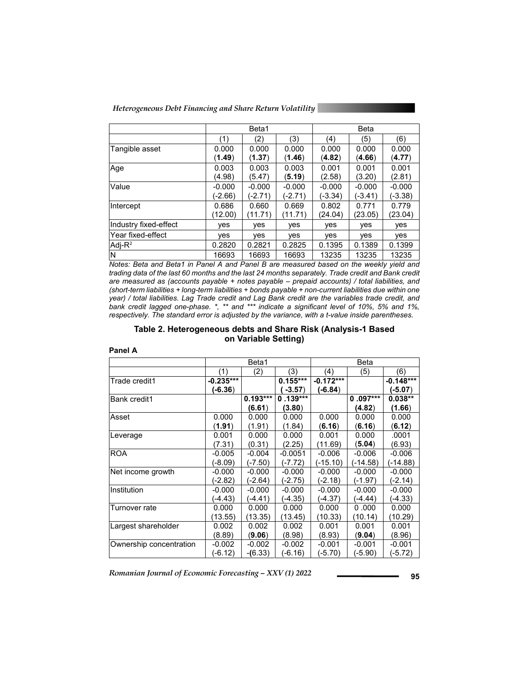*Heterogeneous Debt Financing and Share Return Volatility* 

|                       |          | Beta1      |          | Beta     |          |          |  |  |  |
|-----------------------|----------|------------|----------|----------|----------|----------|--|--|--|
|                       | (1)      | (2)        | (3)      | (4)      | (5)      | (6)      |  |  |  |
| Tangible asset        | 0.000    | 0.000      | 0.000    | 0.000    | 0.000    | 0.000    |  |  |  |
|                       | (1.49)   | (1.37)     | (1.46)   | (4.82)   | (4.66)   | (4.77)   |  |  |  |
| Age                   | 0.003    | 0.003      | 0.003    | 0.001    | 0.001    | 0.001    |  |  |  |
|                       | (4.98)   | (5.47)     | (5.19)   | (2.58)   | (3.20)   | (2.81)   |  |  |  |
| Value                 | $-0.000$ | $-0.000$   | $-0.000$ | $-0.000$ | $-0.000$ | $-0.000$ |  |  |  |
|                       | (-2.66)  | (-2.71)    | (-2.71)  | (-3.34)  | (-3.41)  | (-3.38)  |  |  |  |
| Intercept             | 0.686    | 0.660      | 0.669    | 0.802    | 0.771    | 0.779    |  |  |  |
|                       | (12.00)  | (11.71)    | (11.71)  | (24.04)  | (23.05)  | (23.04)  |  |  |  |
| Industry fixed-effect | ves      | <b>ves</b> | ves      | yes      | yes      | yes      |  |  |  |
| lYear fixed-effect    | yes      | ves        | yes      | yes      | yes      | yes      |  |  |  |
| Adj- $R^2$            | 0.2820   | 0.2821     | 0.2825   | 0.1395   | 0.1389   | 0.1399   |  |  |  |
| N                     | 16693    | 16693      | 16693    | 13235    | 13235    | 13235    |  |  |  |

*Notes: Beta and Beta1 in Panel A and Panel B are measured based on the weekly yield and*  trading data of the last 60 months and the last 24 months separately. Trade credit and Bank credit *are measured as (accounts payable + notes payable – prepaid accounts) / total liabilities, and (short-term liabilities + long-term liabilities + bonds payable + non-current liabilities due within one year) / total liabilities. Lag Trade credit and Lag Bank credit are the variables trade credit, and bank credit lagged one-phase. \*, \*\* and \*\*\* indicate a significant level of 10%, 5% and 1%, respectively. The standard error is adjusted by the variance, with a t-value inside parentheses.* 

### **Table 2. Heterogeneous debts and Share Risk (Analysis-1 Based on Variable Setting)**

|                         |             | Beta1      |            |             | Beta       |             |
|-------------------------|-------------|------------|------------|-------------|------------|-------------|
|                         | (1)         | (2)        | (3)        | (4)         | (5)        | (6)         |
| Trade credit1           | $-0.235***$ |            | $0.155***$ | $-0.172***$ |            | $-0.148***$ |
|                         | $(-6.36)$   |            | $-3.57$ )  | $(-6.84)$   |            | $(-5.07)$   |
| <b>Bank credit1</b>     |             | $0.193***$ | $0.139***$ |             | $0.097***$ | $0.038**$   |
|                         |             | (6.61)     | (3.80)     |             | (4.82)     | (1.66)      |
| Asset                   | 0.000       | 0.000      | 0.000      | 0.000       | 0.000      | 0.000       |
|                         | (1.91)      | (1.91)     | (1.84)     | (6.16)      | (6.16)     | (6.12)      |
| Leverage                | 0.001       | 0.000      | 0.000      | 0.001       | 0.000      | .0001       |
|                         | (7.31)      | (0.31)     | (2.25)     | (11.69)     | (5.04)     | (6.93)      |
| <b>ROA</b>              | $-0.005$    | $-0.004$   | $-0.0051$  | $-0.006$    | $-0.006$   | $-0.006$    |
|                         | (-8.09)     | (-7.50)    | (-7.72)    | (-15.10)    | (-14.58)   | (-14.88)    |
| Net income growth       | $-0.000$    | $-0.000$   | $-0.000$   | $-0.000$    | $-0.000$   | $-0.000$    |
|                         | (-2.82)     | (-2.64)    | $(-2.75)$  | (-2.18)     | (-1.97)    | (-2.14)     |
| Institution             | $-0.000$    | $-0.000$   | $-0.000$   | $-0.000$    | $-0.000$   | $-0.000$    |
|                         | (-4.43)     | (-4.41)    | (-4.35)    | (-4.37)     | (-4.44)    | (-4.33)     |
| Turnover rate           | 0.000       | 0.000      | 0.000      | 0.000       | 0.000      | 0.000       |
|                         | (13.55)     | (13.35)    | (13.45)    | (10.33)     | (10.14)    | (10.29)     |
| Largest shareholder     | 0.002       | 0.002      | 0.002      | 0.001       | 0.001      | 0.001       |
|                         | (8.89)      | (9.06)     | (8.98)     | (8.93)      | (9.04)     | (8.96)      |
| Ownership concentration | -0.002      | $-0.002$   | $-0.002$   | $-0.001$    | $-0.001$   | $-0.001$    |
|                         | (-6.12)     | $-(6.33)$  | (-6.16)    | (-5.70)     | (-5.90)    | (-5.72)     |

#### **Panel A**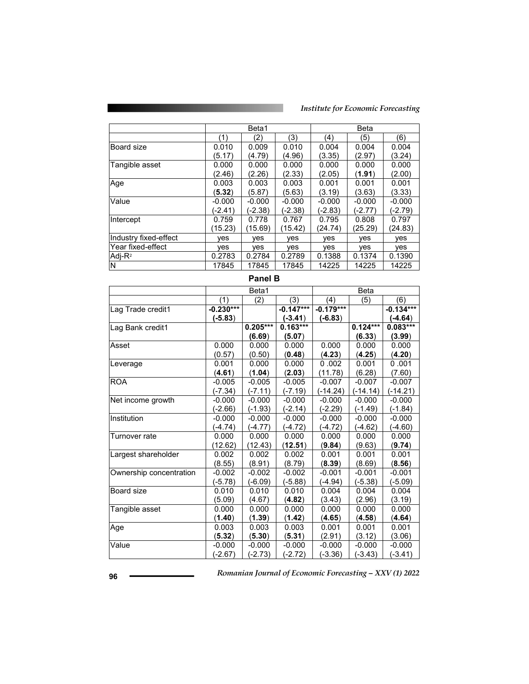|                         |          | Beta1    |          |          | Beta     |          |
|-------------------------|----------|----------|----------|----------|----------|----------|
|                         | (1)      | (2)      | (3)      | (4)      | (5)      | (6)      |
| Board size              | 0.010    | 0.009    | 0.010    | 0.004    | 0.004    | 0.004    |
|                         | (5.17)   | (4.79)   | (4.96)   | (3.35)   | (2.97)   | (3.24)   |
| Tangible asset          | 0.000    | 0.000    | 0.000    | 0.000    | 0.000    | 0.000    |
|                         | (2.46)   | (2.26)   | (2.33)   | (2.05)   | (1.91)   | (2.00)   |
| Age                     | 0.003    | 0.003    | 0.003    | 0.001    | 0.001    | 0.001    |
|                         | (5.32)   | (5.87)   | (5.63)   | (3.19)   | (3.63)   | (3.33)   |
| Value                   | $-0.000$ | $-0.000$ | $-0.000$ | $-0.000$ | $-0.000$ | $-0.000$ |
|                         | (-2.41)  | (-2.38)  | (-2.38)  | (-2.83)  | (-2.77)  | (-2.79)  |
| Intercept               | 0.759    | 0.778    | 0.767    | 0.795    | 0.808    | 0.797    |
|                         | (15.23)  | (15.69)  | (15.42)  | (24.74)  | (25.29)  | (24.83)  |
| Industry fixed-effect   | ves      | ves      | ves      | ves      | ves      | ves      |
| Year fixed-effect       | ves      | ves      | ves      | ves      | ves      | ves      |
| $Adj-R^2$               | 0.2783   | 0.2784   | 0.2789   | 0.1388   | 0.1374   | 0.1390   |
| $\overline{\mathsf{N}}$ | 17845    | 17845    | 17845    | 14225    | 14225    | 14225    |

|                         |             | ש וסווס ו  |             |             |             |             |
|-------------------------|-------------|------------|-------------|-------------|-------------|-------------|
|                         |             | Beta1      |             |             | <b>Beta</b> |             |
|                         | (1)         | (2)        | (3)         | (4)         | (5)         | (6)         |
| Lag Trade credit1       | $-0.230***$ |            | $-0.147***$ | $-0.179***$ |             | $-0.134***$ |
|                         | $-5.83)$    |            | $-3.41)$    | $(-6.83)$   |             | $-4.64)$    |
| Lag Bank credit1        |             | $0.205***$ | $0.163***$  |             | $0.124***$  | $0.083***$  |
|                         |             | (6.69)     | (5.07)      |             | (6.33)      | (3.99)      |
| Asset                   | 0.000       | 0.000      | 0.000       | 0.000       | 0.000       | 0.000       |
|                         | (0.57)      | (0.50)     | (0.48)      | (4.23)      | (4.25)      | (4.20)      |
| Leverage                | 0.001       | 0.000      | 0.000       | 0.002       | 0.001       | 0.001       |
|                         | (4.61)      | (1.04)     | (2.03)      | (11.78)     | (6.28)      | (7.60)      |
| <b>ROA</b>              | $-0.005$    | $-0.005$   | $-0.005$    | $-0.007$    | $-0.007$    | $-0.007$    |
|                         | $(-7.34)$   | (-7.11)    | $(-7.19)$   | $(-14.24)$  | $(-14.14)$  | $(-14.21)$  |
| Net income growth       | $-0.000$    | $-0.000$   | $-0.000$    | $-0.000$    | $-0.000$    | $-0.000$    |
|                         | (-2.66)     | (-1.93)    | $(-2.14)$   | $(-2.29)$   | $(-1.49)$   | $(-1.84)$   |
| Institution             | $-0.000$    | $-0.000$   | $-0.000$    | $-0.000$    | $-0.000$    | $-0.000$    |
|                         | (-4.74)     | (-4.77)    | (-4.72)     | (-4.72)     | $(-4.62)$   | (-4.60)     |
| Turnover rate           | 0.000       | 0.000      | 0.000       | 0.000       | 0.000       | 0.000       |
|                         | (12.62)     | (12.43)    | (12.51)     | (9.84)      | (9.63)      | (9.74)      |
| Largest shareholder     | 0.002       | 0.002      | 0.002       | 0.001       | 0.001       | 0.001       |
|                         | (8.55)      | (8.91)     | (8.79)      | (8.39)      | (8.69)      | (8.56)      |
| Ownership concentration | $-0.002$    | $-0.002$   | $-0.002$    | $-0.001$    | $-0.001$    | $-0.001$    |
|                         | (-5.78)     | (-6.09)    | (-5.88)     | (-4.94)     | $(-5.38)$   | $(-5.09)$   |
| Board size              | 0.010       | 0.010      | 0.010       | 0.004       | 0.004       | 0.004       |
|                         | (5.09)      | (4.67)     | (4.82)      | (3.43)      | (2.96)      | (3.19)      |
| Tangible asset          | 0.000       | 0.000      | 0.000       | 0.000       | 0.000       | 0.000       |
|                         | (1.40)      | (1.39)     | (1.42)      | (4.65)      | (4.58)      | (4.64)      |
| Age                     | 0.003       | 0.003      | 0.003       | 0.001       | 0.001       | 0.001       |
|                         | (5.32)      | (5.30)     | (5.31)      | (2.91)      | (3.12)      | (3.06)      |
| Value                   | $-0.000$    | $-0.000$   | $-0.000$    | $-0.000$    | $-0.000$    | $-0.000$    |
|                         | $(-2.67)$   | $(-2.73)$  | $(-2.72)$   | $(-3.36)$   | $(-3.43)$   | $(-3.41)$   |

**Panel B**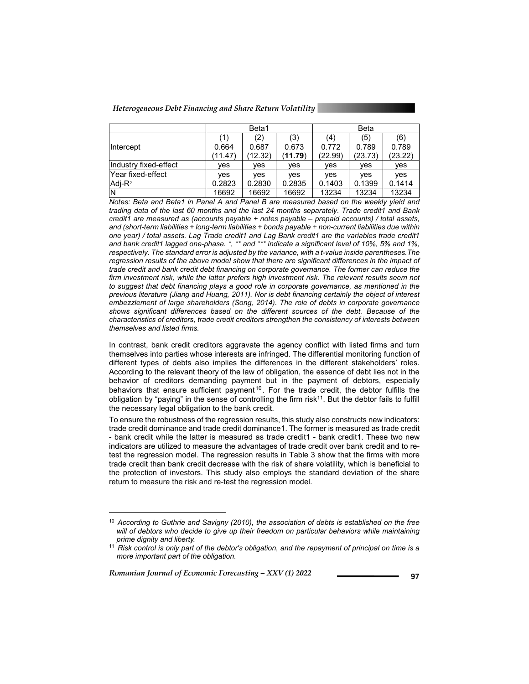*Heterogeneous Debt Financing and Share Return Volatility* 

|                       |                  | Beta1            |                  | Beta             |                  |                  |  |
|-----------------------|------------------|------------------|------------------|------------------|------------------|------------------|--|
|                       |                  | (3)<br>′2)       |                  |                  | (5)<br>(4)       |                  |  |
| Intercept             | 0.664<br>(11.47) | 0.687<br>(12.32) | 0.673<br>(11.79) | 0.772<br>(22.99) | 0.789<br>(23.73) | 0.789<br>(23.22) |  |
| Industry fixed-effect | ves              | ves              | ves              | ves              | ves              | ves              |  |
| lYear fixed-effect    | ves              | ves              | ves              | ves              | ves              | ves              |  |
| $Adi-R2$              | 0.2823           | 0.2830           | 0.2835           | 0.1403           | 0.1399           | 0.1414           |  |
| IN                    | 16692            | 16692            | 16692            | 13234            | 13234            | 13234            |  |

*Notes: Beta and Beta1 in Panel A and Panel B are measured based on the weekly yield and trading data of the last 60 months and the last 24 months separately. Trade credit1 and Bank credit1 are measured as (accounts payable + notes payable – prepaid accounts) / total assets, and (short-term liabilities + long-term liabilities + bonds payable + non-current liabilities due within one year) / total assets. Lag Trade credit1 and Lag Bank credit1 are the variables trade credit1 and bank credit1 lagged one-phase. \*, \*\* and \*\*\* indicate a significant level of 10%, 5% and 1%, respectively. The standard error is adjusted by the variance, with a t-value inside parentheses.The regression results of the above model show that there are significant differences in the impact of trade credit and bank credit debt financing on corporate governance. The former can reduce the*  firm investment risk, while the latter prefers high investment risk. The relevant results seem not *to suggest that debt financing plays a good role in corporate governance, as mentioned in the previous literature (Jiang and Huang, 2011). Nor is debt financing certainly the object of interest embezzlement of large shareholders (Song, 2014). The role of debts in corporate governance shows significant differences based on the different sources of the debt. Because of the characteristics of creditors, trade credit creditors strengthen the consistency of interests between themselves and listed firms.* 

In contrast, bank credit creditors aggravate the agency conflict with listed firms and turn themselves into parties whose interests are infringed. The differential monitoring function of different types of debts also implies the differences in the different stakeholders' roles. According to the relevant theory of the law of obligation, the essence of debt lies not in the behavior of creditors demanding payment but in the payment of debtors, especially behaviors that ensure sufficient payment<sup>10</sup>. For the trade credit, the debtor fulfills the obligation by "paying" in the sense of controlling the firm risk<sup>11</sup>. But the debtor fails to fulfill the necessary legal obligation to the bank credit.

To ensure the robustness of the regression results, this study also constructs new indicators: trade credit dominance and trade credit dominance1. The former is measured as trade credit - bank credit while the latter is measured as trade credit1 - bank credit1. These two new indicators are utilized to measure the advantages of trade credit over bank credit and to retest the regression model. The regression results in Table 3 show that the firms with more trade credit than bank credit decrease with the risk of share volatility, which is beneficial to the protection of investors. This study also employs the standard deviation of the share return to measure the risk and re-test the regression model.

*Romanian Journal of Economic Forecasting – XXV (1) 2022* **197 197** 

l

<sup>10</sup> *According to Guthrie and Savigny (2010), the association of debts is established on the free will of debtors who decide to give up their freedom on particular behaviors while maintaining prime dignity and liberty.* 

<sup>&</sup>lt;sup>11</sup> Risk control is only part of the debtor's obligation, and the repayment of principal on time is a *more important part of the obligation.*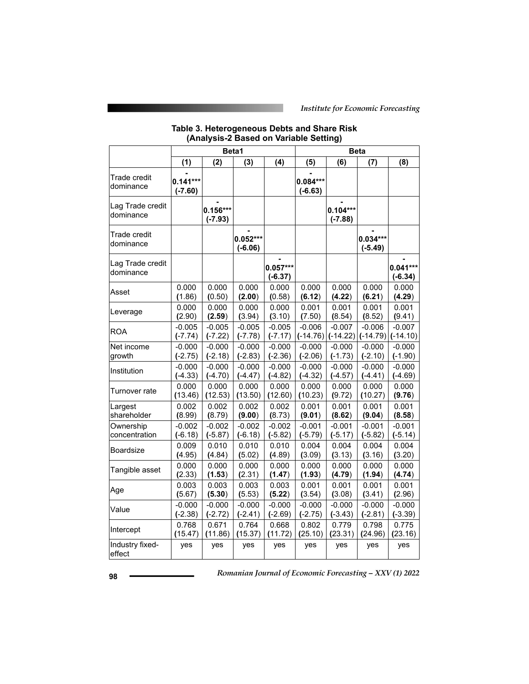#### **Table 3. Heterogeneous Debts and Share Risk (Analysis-2 Based on Variable Setting)**

|                               |                         |                         | Beta1                   |                         | <b>Beta</b>             |                         |                         |                         |
|-------------------------------|-------------------------|-------------------------|-------------------------|-------------------------|-------------------------|-------------------------|-------------------------|-------------------------|
|                               | (1)                     | (2)                     | (3)                     | (4)                     | (5)                     | (6)                     | (7)                     | (8)                     |
| Trade credit<br>dominance     | $0.141***$<br>$(-7.60)$ |                         |                         |                         | $0.084***$<br>$(-6.63)$ |                         |                         |                         |
| Lag Trade credit<br>dominance |                         | $0.156***$<br>$(-7.93)$ |                         |                         |                         | $0.104***$<br>$(-7.88)$ |                         |                         |
| Trade credit<br>dominance     |                         |                         | $0.052***$<br>$(-6.06)$ |                         |                         |                         | $0.034***$<br>$(-5.49)$ |                         |
| Lag Trade credit<br>dominance |                         |                         |                         | $0.057***$<br>$(-6.37)$ |                         |                         |                         | $0.041***$<br>$(-6.34)$ |
| Asset                         | 0.000                   | 0.000                   | 0.000                   | 0.000                   | 0.000                   | 0.000                   | 0.000                   | 0.000                   |
|                               | (1.86)                  | (0.50)                  | (2.00)                  | (0.58)                  | (6.12)                  | (4.22)                  | (6.21)                  | (4.29)                  |
| Leverage                      | 0.000                   | 0.000                   | 0.000                   | 0.000                   | 0.001                   | 0.001                   | 0.001                   | 0.001                   |
|                               | (2.90)                  | (2.59)                  | (3.94)                  | (3.10)                  | (7.50)                  | (8.54)                  | (8.52)                  | (9.41)                  |
| <b>ROA</b>                    | $-0.005$                | $-0.005$                | $-0.005$                | $-0.005$                | $-0.006$                | $-0.007$                | $-0.006$                | $-0.007$                |
|                               | $(-7.74)$               | $(-7.22)$               | $(-7.78)$               | $(-7.17)$               | $(-14.76)$              | $(-14.22)$              | $(-14.79)$              | $(-14.10)$              |
| Net income                    | $-0.000$                | $-0.000$                | $-0.000$                | $-0.000$                | $-0.000$                | $-0.000$                | $-0.000$                | $-0.000$                |
| growth                        | $(-2.75)$               | $(-2.18)$               | $(-2.83)$               | $(-2.36)$               | $(-2.06)$               | $(-1.73)$               | $(-2.10)$               | $(-1.90)$               |
| Institution                   | $-0.000$                | $-0.000$                | $-0.000$                | $-0.000$                | $-0.000$                | $-0.000$                | $-0.000$                | $-0.000$                |
|                               | $(-4.33)$               | $(-4.70)$               | $(-4.47)$               | $(-4.82)$               | $(-4.32)$               | $(-4.57)$               | $(-4.41)$               | $(-4.69)$               |
| Turnover rate                 | 0.000                   | 0.000                   | 0.000                   | 0.000                   | 0.000                   | 0.000                   | 0.000                   | 0.000                   |
|                               | (13.46)                 | (12.53)                 | (13.50)                 | (12.60)                 | (10.23)                 | (9.72)                  | (10.27)                 | (9.76)                  |
| Largest                       | 0.002                   | 0.002                   | 0.002                   | 0.002                   | 0.001                   | 0.001                   | 0.001                   | 0.001                   |
| shareholder                   | (8.99)                  | (8.79)                  | (9.00)                  | (8.73)                  | (9.01)                  | (8.62)                  | (9.04)                  | (8.58)                  |
| Ownership                     | $-0.002$                | $-0.002$                | $-0.002$                | $-0.002$                | $-0.001$                | $-0.001$                | $-0.001$                | $-0.001$                |
| concentration                 | $(-6.18)$               | $(-5.87)$               | $(-6.18)$               | $(-5.82)$               | $(-5.79)$               | $(-5.17)$               | $(-5.82)$               | $(-5.14)$               |
| Boardsize                     | 0.009                   | 0.010                   | 0.010                   | 0.010                   | 0.004                   | 0.004                   | 0.004                   | 0.004                   |
|                               | (4.95)                  | (4.84)                  | (5.02)                  | (4.89)                  | (3.09)                  | (3.13)                  | (3.16)                  | (3.20)                  |
| Tangible asset                | 0.000                   | 0.000                   | 0.000                   | 0.000                   | 0.000                   | 0.000                   | 0.000                   | 0.000                   |
|                               | (2.33)                  | (1.53)                  | (2.31)                  | (1.47)                  | (1.93)                  | (4.79)                  | (1.94)                  | (4.74)                  |
| Age                           | 0.003                   | 0.003                   | 0.003                   | 0.003                   | 0.001                   | 0.001                   | 0.001                   | 0.001                   |
|                               | (5.67)                  | (5.30)                  | (5.53)                  | (5.22)                  | (3.54)                  | (3.08)                  | (3.41)                  | (2.96)                  |
| Value                         | $-0.000$                | $-0.000$                | $-0.000$                | $-0.000$                | $-0.000$                | $-0.000$                | $-0.000$                | $-0.000$                |
|                               | $(-2.38)$               | $(-2.72)$               | $(-2.41)$               | $(-2.69)$               | $(-2.75)$               | $(-3.43)$               | $(-2.81)$               | $(-3.39)$               |
| Intercept                     | 0.768                   | 0.671                   | 0.764                   | 0.668                   | 0.802                   | 0.779                   | 0.798                   | 0.775                   |
|                               | (15.47)                 | (11.86)                 | (15.37)                 | (11.72)                 | (25.10)                 | (23.31)                 | (24.96)                 | (23.16)                 |
| Industry fixed-<br>effect     | yes                     | yes                     | yes                     | yes                     | yes                     | yes                     | yes                     | yes                     |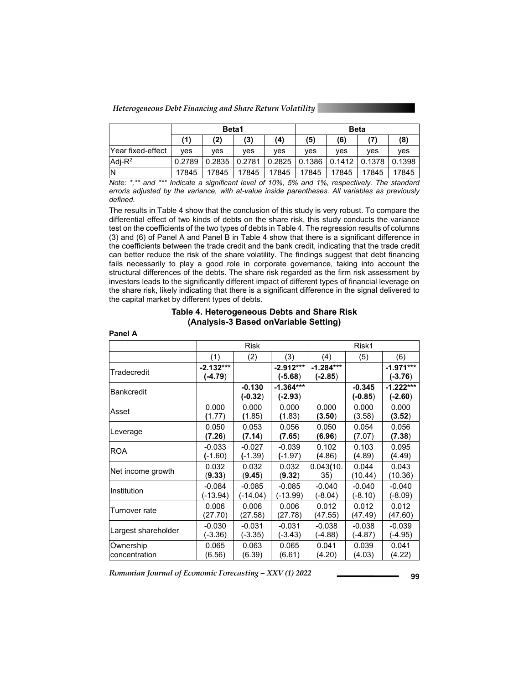*Heterogeneous Debt Financing and Share Return Volatility* 

**Panel A** 

|                          |        | Beta1  |        |                   |       | <b>Beta</b> |                 |        |
|--------------------------|--------|--------|--------|-------------------|-------|-------------|-----------------|--------|
|                          | (1)    | (2)    | (3)    | (4)               | (5)   | (6)         | (7)             | (8)    |
| <b>Year fixed-effect</b> | ves    | ves    | ves    | ves               | ves   | ves         | ves             | ves    |
| $Adi-R^2$                | 0.2789 | 0.2835 | 0.2781 | $0.2825$   0.1386 |       |             | 0.1412   0.1378 | 0.1398 |
| İΝ                       | 17845  | 17845  | 17845  | 17845             | 17845 | 17845       | 17845           | 17845  |

*Note: \*,\*\* and \*\*\* Indicate a significant level of 10%, 5% and 1%, respectively. The standard erroris adjusted by the variance, with at-value inside parentheses. All variables as previously defined.* 

The results in Table 4 show that the conclusion of this study is very robust. To compare the differential effect of two kinds of debts on the share risk, this study conducts the variance test on the coefficients of the two types of debts in Table 4. The regression results of columns (3) and (6) of Panel A and Panel B in Table 4 show that there is a significant difference in the coefficients between the trade credit and the bank credit, indicating that the trade credit can better reduce the risk of the share volatility. The findings suggest that debt financing fails necessarily to play a good role in corporate governance, taking into account the structural differences of the debts. The share risk regarded as the firm risk assessment by investors leads to the significantly different impact of different types of financial leverage on the share risk, likely indicating that there is a significant difference in the signal delivered to the capital market by different types of debts.

### **Table 4. Heterogeneous Debts and Share Risk (Analysis-3 Based onVariable Setting)**

|                     |                          | <b>Risk</b>           |                          |                          | Risk1                 |                          |  |  |
|---------------------|--------------------------|-----------------------|--------------------------|--------------------------|-----------------------|--------------------------|--|--|
|                     | (1)                      | (2)                   | (3)                      | (4)                      | (5)                   | (6)                      |  |  |
| Tradecredit         | $-2.132***$<br>$(-4.79)$ |                       | $-2.912***$<br>$(-5.68)$ | $-1.284***$<br>$(-2.85)$ |                       | $-1.971***$<br>$(-3.76)$ |  |  |
| <b>Bankcredit</b>   |                          | $-0.130$<br>$(-0.32)$ | $-1.364***$<br>$(-2.93)$ |                          | $-0.345$<br>$(-0.85)$ | $-1.222***$<br>$(-2.60)$ |  |  |
| Asset               | 0.000                    | 0.000                 | 0.000                    | 0.000                    | 0.000                 | 0.000                    |  |  |
|                     | (1.77)                   | (1.85)                | (1.83)                   | (3.50)                   | (3.58)                | (3.52)                   |  |  |
| Leverage            | 0.050                    | 0.053                 | 0.056                    | 0.050                    | 0.054                 | 0.056                    |  |  |
|                     | (7.26)                   | (7.14)                | (7.65)                   | (6.96)                   | (7.07)                | (7.38)                   |  |  |
| <b>ROA</b>          | $-0.033$                 | $-0.027$              | $-0.039$                 | 0.102                    | 0.103                 | 0.095                    |  |  |
|                     | $(-1.60)$                | $(-1.39)$             | $(-1.97)$                | (4.86)                   | (4.89)                | (4.49)                   |  |  |
| Net income growth   | 0.032                    | 0.032                 | 0.032                    | 0.043(10.                | 0.044                 | 0.043                    |  |  |
|                     | (9.33)                   | (9.45)                | (9.32)                   | 35)                      | (10.44)               | (10.36)                  |  |  |
| Institution         | $-0.084$                 | $-0.085$              | $-0.085$                 | $-0.040$                 | $-0.040$              | $-0.040$                 |  |  |
|                     | (-13.94)                 | (-14.04)              | (-13.99)                 | (-8.04)                  | $(-8.10)$             | (-8.09)                  |  |  |
| Turnover rate       | 0.006                    | 0.006                 | 0.006                    | 0.012                    | 0.012                 | 0.012                    |  |  |
|                     | (27.70)                  | (27.58)               | (27.78)                  | (47.55)                  | (47.49)               | (47.60)                  |  |  |
| Largest shareholder | $-0.030$                 | $-0.031$              | $-0.031$                 | $-0.038$                 | $-0.038$              | $-0.039$                 |  |  |
|                     | (-3.36)                  | $(-3.35)$             | $(-3.43)$                | (-4.88)                  | (-4.87)               | (-4.95)                  |  |  |
| Ownership           | 0.065                    | 0.063                 | 0.065                    | 0.041                    | 0.039                 | 0.041                    |  |  |
| concentration       | (6.56)                   | (6.39)                | (6.61)                   | (4.20)                   | (4.03)                | (4.22)                   |  |  |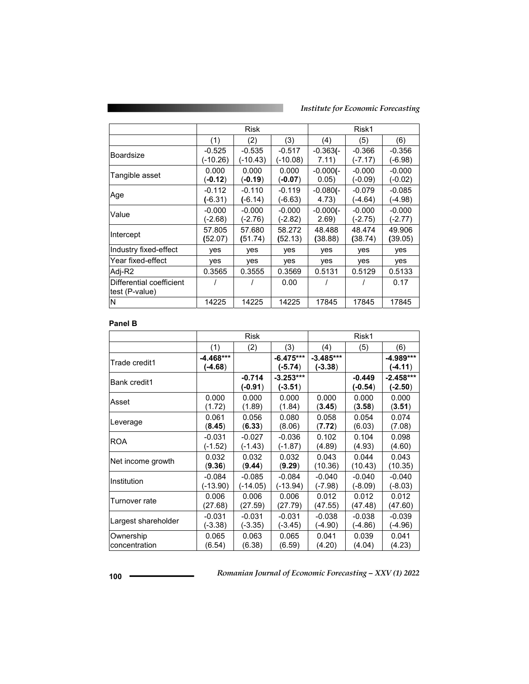*Institute for Economic Forecasting*

|                                            | Risk                  |                       |                       | Risk1                |                       |                       |
|--------------------------------------------|-----------------------|-----------------------|-----------------------|----------------------|-----------------------|-----------------------|
|                                            | (1)                   | (2)                   | (3)                   | (4)                  | (5)                   | (6)                   |
| <b>Boardsize</b>                           | $-0.525$<br>(-10.26)  | $-0.535$<br>(-10.43)  | $-0.517$<br>(-10.08)  | $-0.363(-)$<br>7.11) | $-0.366$<br>(-7.17)   | $-0.356$<br>(-6.98)   |
| Tangible asset                             | 0.000<br>(-0.12)      | 0.000<br>(-0.19)      | 0.000<br>$(-0.07)$    | $-0.000(-)$<br>0.05) | $-0.000$<br>$(-0.09)$ | $-0.000$<br>(-0.02)   |
| Age                                        | $-0.112$<br>$(-6.31)$ | $-0.110$<br>$(-6.14)$ | $-0.119$<br>$(-6.63)$ | $-0.080(-)$<br>4.73) | $-0.079$<br>(-4.64)   | $-0.085$<br>(-4.98)   |
| Value                                      | $-0.000$<br>(-2.68)   | $-0.000$<br>$(-2.76)$ | $-0.000$<br>(-2.82)   | $-0.000(-)$<br>2.69) | $-0.000$<br>$(-2.75)$ | $-0.000$<br>$(-2.77)$ |
| Intercept                                  | 57.805<br>(52.07)     | 57.680<br>(51.74)     | 58.272<br>(52.13)     | 48.488<br>(38.88)    | 48.474<br>(38.74)     | 49.906<br>(39.05)     |
| Industry fixed-effect                      | ves                   | <b>ves</b>            | ves                   | ves                  | ves                   | <b>ves</b>            |
| Year fixed-effect                          | yes                   | yes                   | yes                   | yes                  | yes                   | yes                   |
| Adj-R2                                     | 0.3565                | 0.3555                | 0.3569                | 0.5131               | 0.5129                | 0.5133                |
| Differential coefficient<br>test (P-value) |                       |                       | 0.00                  |                      |                       | 0.17                  |
| N                                          | 14225                 | 14225                 | 14225                 | 17845                | 17845                 | 17845                 |

### **Panel B**

|                     | <b>Risk</b>          |                       |                          | Risk1                    |                       |                          |  |
|---------------------|----------------------|-----------------------|--------------------------|--------------------------|-----------------------|--------------------------|--|
|                     | (1)                  | (2)                   | (3)                      | (4)                      | (5)                   | (6)                      |  |
| Trade credit1       | -4.468***<br>(-4.68) |                       | $-6.475***$<br>(-5.74)   | $-3.485***$<br>$(-3.38)$ |                       | -4.989***<br>(-4.11)     |  |
| Bank credit1        |                      | $-0.714$<br>$(-0.91)$ | $-3.253***$<br>$(-3.51)$ |                          | $-0.449$<br>$(-0.54)$ | $-2.458***$<br>$(-2.50)$ |  |
| Asset               | 0.000                | 0.000                 | 0.000                    | 0.000                    | 0.000                 | 0.000                    |  |
|                     | (1.72)               | (1.89)                | (1.84)                   | (3.45)                   | (3.58)                | (3.51)                   |  |
| Leverage            | 0.061                | 0.056                 | 0.080                    | 0.058                    | 0.054                 | 0.074                    |  |
|                     | (8.45)               | (6.33)                | (8.06)                   | (7.72)                   | (6.03)                | (7.08)                   |  |
| ROA                 | $-0.031$             | $-0.027$              | $-0.036$                 | 0.102                    | 0.104                 | 0.098                    |  |
|                     | (-1.52)              | $(-1.43)$             | $(-1.87)$                | (4.89)                   | (4.93)                | (4.60)                   |  |
| Net income growth   | 0.032                | 0.032                 | 0.032                    | 0.043                    | 0.044                 | 0.043                    |  |
|                     | (9.36)               | (9.44)                | (9.29)                   | (10.36)                  | (10.43)               | (10.35)                  |  |
| Institution         | $-0.084$             | $-0.085$              | $-0.084$                 | $-0.040$                 | $-0.040$              | $-0.040$                 |  |
|                     | (-13.90)             | (-14.05)              | (-13.94)                 | $(-7.98)$                | $(-8.09)$             | (-8.03)                  |  |
| Turnover rate       | 0.006                | 0.006                 | 0.006                    | 0.012                    | 0.012                 | 0.012                    |  |
|                     | (27.68)              | (27.59)               | (27.79)                  | (47.55)                  | (47.48)               | (47.60)                  |  |
| Largest shareholder | $-0.031$             | $-0.031$              | $-0.031$                 | $-0.038$                 | $-0.038$              | $-0.039$                 |  |
|                     | $(-3.38)$            | $(-3.35)$             | (-3.45)                  | $(-4.90)$                | $(-4.86)$             | (-4.96)                  |  |
| Ownership           | 0.065                | 0.063                 | 0.065                    | 0.041                    | 0.039                 | 0.041                    |  |
| concentration       | (6.54)               | (6.38)                | (6.59)                   | (4.20)                   | (4.04)                | (4.23)                   |  |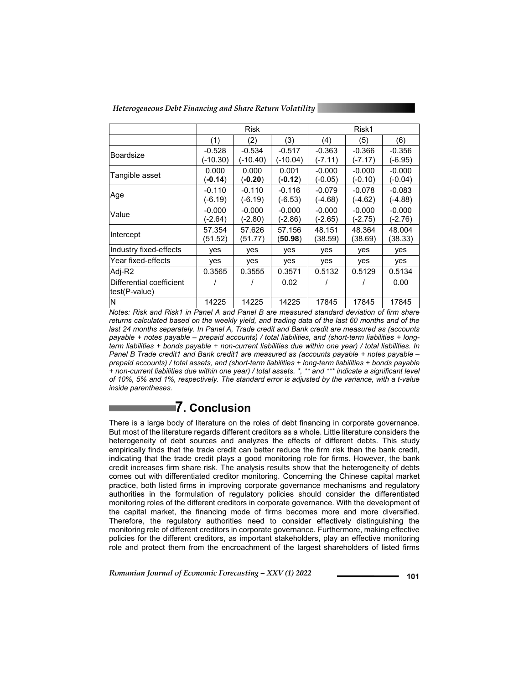*Heterogeneous Debt Financing and Share Return Volatility* 

|                                           | Risk                  |                       |                       | Risk1                 |                       |                       |
|-------------------------------------------|-----------------------|-----------------------|-----------------------|-----------------------|-----------------------|-----------------------|
|                                           | (1)                   | (2)                   | (3)                   | (4)                   | (5)                   | (6)                   |
| Boardsize                                 | $-0.528$<br>(-10.30)  | $-0.534$<br>(-10.40)  | $-0.517$<br>(-10.04)  | $-0.363$<br>$(-7.11)$ | $-0.366$<br>$(-7.17)$ | $-0.356$<br>(-6.95)   |
| Tangible asset                            | 0.000<br>$(-0.14)$    | 0.000<br>$(-0.20)$    | 0.001<br>(-0.12)      | $-0.000$<br>$(-0.05)$ | $-0.000$<br>$(-0.10)$ | $-0.000$<br>(-0.04)   |
| Age                                       | $-0.110$<br>$(-6.19)$ | $-0.110$<br>$(-6.19)$ | $-0.116$<br>$(-6.53)$ | $-0.079$<br>(-4.68)   | $-0.078$<br>$(-4.62)$ | $-0.083$<br>(-4.88)   |
| Value                                     | $-0.000$<br>(-2.64)   | $-0.000$<br>$(-2.80)$ | $-0.000$<br>$(-2.86)$ | $-0.000$<br>$(-2.65)$ | $-0.000$<br>$(-2.75)$ | $-0.000$<br>$(-2.76)$ |
| Intercept                                 | 57.354<br>(51.52)     | 57.626<br>(51.77)     | 57.156<br>(50.98)     | 48.151<br>(38.59)     | 48.364<br>(38.69)     | 48.004<br>(38.33)     |
| Industry fixed-effects                    | yes                   | yes                   | yes                   | <b>ves</b>            | yes                   | yes                   |
| Year fixed-effects                        | yes                   | yes                   | <b>ves</b>            | <b>ves</b>            | ves                   | ves                   |
| Adj-R2                                    | 0.3565                | 0.3555                | 0.3571                | 0.5132                | 0.5129                | 0.5134                |
| Differential coefficient<br>test(P-value) |                       |                       | 0.02                  |                       |                       | 0.00                  |
| ΙN                                        | 14225                 | 14225                 | 14225                 | 17845                 | 17845                 | 17845                 |

*Notes: Risk and Risk1 in Panel A and Panel B are measured standard deviation of firm share returns calculated based on the weekly yield, and trading data of the last 60 months and of the last 24 months separately. In Panel A, Trade credit and Bank credit are measured as (accounts payable + notes payable – prepaid accounts) / total liabilities, and (short-term liabilities + longterm liabilities + bonds payable + non-current liabilities due within one year) / total liabilities. In Panel B Trade credit1 and Bank credit1 are measured as (accounts payable + notes payable – prepaid accounts) / total assets, and (short-term liabilities + long-term liabilities + bonds payable + non-current liabilities due within one year) / total assets. \*, \*\* and \*\*\* indicate a significant level of 10%, 5% and 1%, respectively. The standard error is adjusted by the variance, with a t-value inside parentheses.* 

## **7. Conclusion**

There is a large body of literature on the roles of debt financing in corporate governance. But most of the literature regards different creditors as a whole. Little literature considers the heterogeneity of debt sources and analyzes the effects of different debts. This study empirically finds that the trade credit can better reduce the firm risk than the bank credit, indicating that the trade credit plays a good monitoring role for firms. However, the bank credit increases firm share risk. The analysis results show that the heterogeneity of debts comes out with differentiated creditor monitoring. Concerning the Chinese capital market practice, both listed firms in improving corporate governance mechanisms and regulatory authorities in the formulation of regulatory policies should consider the differentiated monitoring roles of the different creditors in corporate governance. With the development of the capital market, the financing mode of firms becomes more and more diversified. Therefore, the regulatory authorities need to consider effectively distinguishing the monitoring role of different creditors in corporate governance. Furthermore, making effective policies for the different creditors, as important stakeholders, play an effective monitoring role and protect them from the encroachment of the largest shareholders of listed firms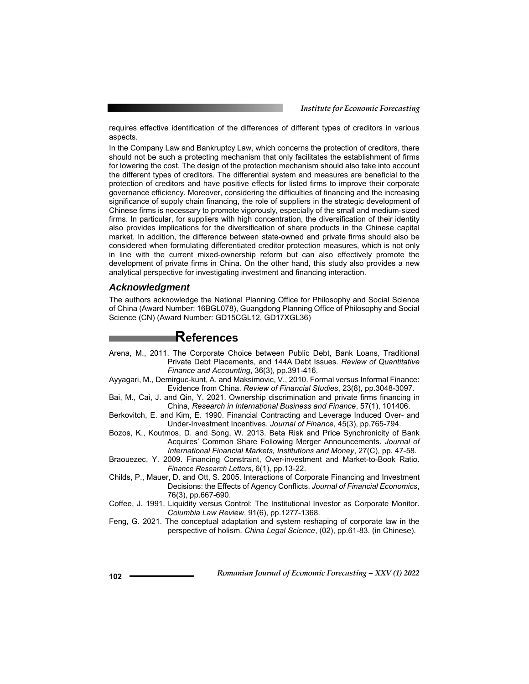requires effective identification of the differences of different types of creditors in various aspects.

In the Company Law and Bankruptcy Law, which concerns the protection of creditors, there should not be such a protecting mechanism that only facilitates the establishment of firms for lowering the cost. The design of the protection mechanism should also take into account the different types of creditors. The differential system and measures are beneficial to the protection of creditors and have positive effects for listed firms to improve their corporate governance efficiency. Moreover, considering the difficulties of financing and the increasing significance of supply chain financing, the role of suppliers in the strategic development of Chinese firms is necessary to promote vigorously, especially of the small and medium-sized firms. In particular, for suppliers with high concentration, the diversification of their identity also provides implications for the diversification of share products in the Chinese capital market. In addition, the difference between state-owned and private firms should also be considered when formulating differentiated creditor protection measures, which is not only in line with the current mixed-ownership reform but can also effectively promote the development of private firms in China. On the other hand, this study also provides a new analytical perspective for investigating investment and financing interaction.

### *Acknowledgment*

The authors acknowledge the National Planning Office for Philosophy and Social Science of China (Award Number: 16BGL078), Guangdong Planning Office of Philosophy and Social Science (CN) (Award Number: GD15CGL12, GD17XGL36)

### **References**

- Arena, M., 2011. The Corporate Choice between Public Debt, Bank Loans, Traditional Private Debt Placements, and 144A Debt Issues. *Review of Quantitative Finance and Accounting*, 36(3), pp.391-416.
- Ayyagari, M., Demirguc-kunt, A. and Maksimovic, V., 2010. Formal versus Informal Finance: Evidence from China. *Review of Financial Studies*, 23(8), pp.3048-3097.
- Bai, M., Cai, J. and Qin, Y. 2021. Ownership discrimination and private firms financing in China, *Research in International Business and Finance*, 57(1), 101406.
- Berkovitch, E. and Kim, E. 1990. Financial Contracting and Leverage Induced Over- and Under-Investment Incentives. *Journal of Finance*, 45(3), pp.765-794.
- Bozos, K., Koutmos, D. and Song, W. 2013. Beta Risk and Price Synchronicity of Bank Acquires' Common Share Following Merger Announcements. *Journal of International Financial Markets, Institutions and Money*, 27(C), pp. 47-58.
- Braouezec, Y. 2009. Financing Constraint, Over-investment and Market-to-Book Ratio. *Finance Research Letters*, 6(1), pp.13-22.
- Childs, P., Mauer, D. and Ott, S. 2005. Interactions of Corporate Financing and Investment Decisions: the Effects of Agency Conflicts. *Journal of Financial Economics*, 76(3), pp.667-690.
- Coffee, J. 1991. Liquidity versus Control: The Institutional Investor as Corporate Monitor. *Columbia Law Review*, 91(6), pp.1277-1368.
- Feng, G. 2021. The conceptual adaptation and system reshaping of corporate law in the perspective of holism. *China Legal Science*, (02), pp.61-83. (in Chinese).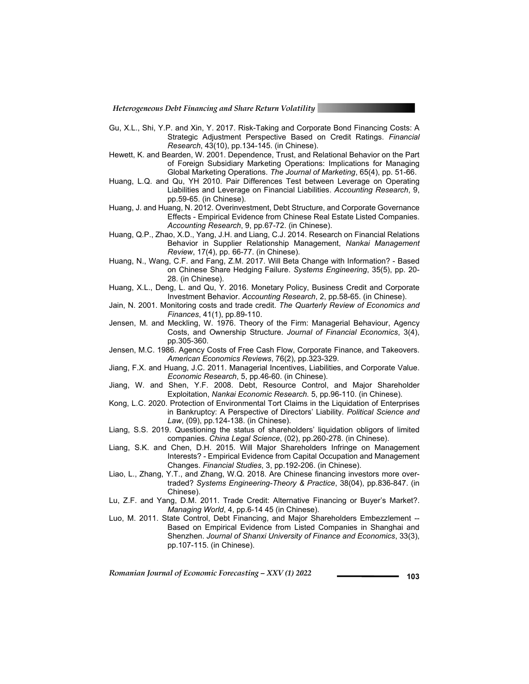*Heterogeneous Debt Financing and Share Return Volatility* 

- Gu, X.L., Shi, Y.P. and Xin, Y. 2017. Risk-Taking and Corporate Bond Financing Costs: A Strategic Adjustment Perspective Based on Credit Ratings. *Financial Research*, 43(10), pp.134-145. (in Chinese).
- Hewett, K. and Bearden, W. 2001. Dependence, Trust, and Relational Behavior on the Part of Foreign Subsidiary Marketing Operations: Implications for Managing Global Marketing Operations. *The Journal of Marketing*, 65(4), pp. 51-66.
- Huang, L.Q. and Qu, YH 2010. Pair Differences Test between Leverage on Operating Liabilities and Leverage on Financial Liabilities. *Accounting Research*, 9, pp.59-65. (in Chinese).
- Huang, J. and Huang, N. 2012. Overinvestment, Debt Structure, and Corporate Governance Effects - Empirical Evidence from Chinese Real Estate Listed Companies. *Accounting Research*, 9, pp.67-72. (in Chinese).
- Huang, Q.P., Zhao, X.D., Yang, J.H. and Liang, C.J. 2014. Research on Financial Relations Behavior in Supplier Relationship Management, *Nankai Management Review*, 17(4), pp. 66-77. (in Chinese).
- Huang, N., Wang, C.F. and Fang, Z.M. 2017. Will Beta Change with Information? Based on Chinese Share Hedging Failure. *Systems Engineering*, 35(5), pp. 20- 28. (in Chinese).
- Huang, X.L., Deng, L. and Qu, Y. 2016. Monetary Policy, Business Credit and Corporate Investment Behavior. *Accounting Research*, 2, pp.58-65. (in Chinese).
- Jain, N. 2001. Monitoring costs and trade credit. *The Quarterly Review of Economics and Finances*, 41(1), pp.89-110.
- Jensen, M. and Meckling, W. 1976. Theory of the Firm: Managerial Behaviour, Agency Costs, and Ownership Structure. *Journal of Financial Economics*, 3(4), pp.305-360.
- Jensen, M.C. 1986. Agency Costs of Free Cash Flow, Corporate Finance, and Takeovers. *American Economics Reviews*, 76(2), pp.323-329.
- Jiang, F.X. and Huang, J.C. 2011. Managerial Incentives, Liabilities, and Corporate Value. *Economic Research*, 5, pp.46-60. (in Chinese).
- Jiang, W. and Shen, Y.F. 2008. Debt, Resource Control, and Major Shareholder Exploitation, *Nankai Economic Research.* 5, pp.96-110. (in Chinese).
- Kong, L.C. 2020. Protection of Environmental Tort Claims in the Liquidation of Enterprises in Bankruptcy: A Perspective of Directors' Liability. *Political Science and Law*, (09), pp.124-138. (in Chinese).
- Liang, S.S. 2019. Questioning the status of shareholders' liquidation obligors of limited companies. *China Legal Science*, (02), pp.260-278. (in Chinese).
- Liang, S.K. and Chen, D.H. 2015. Will Major Shareholders Infringe on Management Interests? - Empirical Evidence from Capital Occupation and Management Changes. *Financial Studies*, 3, pp.192-206. (in Chinese).
- Liao, L., Zhang, Y.T., and Zhang, W.Q. 2018. Are Chinese financing investors more overtraded? *Systems Engineering-Theory & Practice*, 38(04), pp.836-847. (in Chinese).
- Lu, Z.F. and Yang, D.M. 2011. Trade Credit: Alternative Financing or Buyer's Market?. *Managing World*, 4, pp.6-14 45 (in Chinese).
- Luo, M. 2011. State Control, Debt Financing, and Major Shareholders Embezzlement -- Based on Empirical Evidence from Listed Companies in Shanghai and Shenzhen. *Journal of Shanxi University of Finance and Economics*, 33(3), pp.107-115. (in Chinese).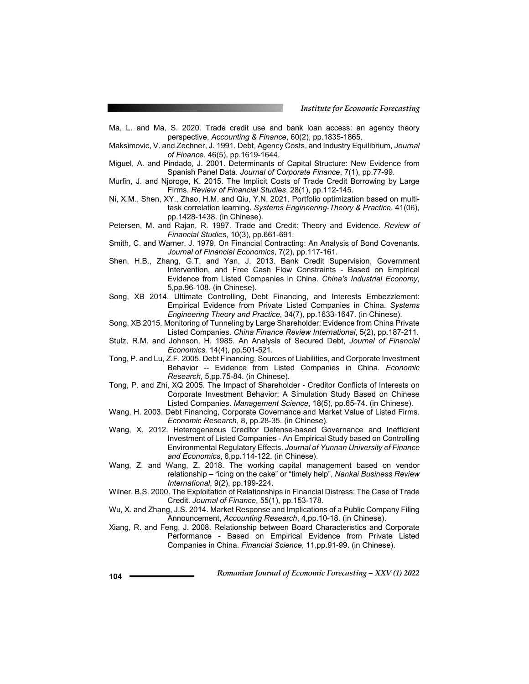- Ma, L. and Ma, S. 2020. Trade credit use and bank loan access: an agency theory perspective, *Accounting & Finance*, 60(2), pp.1835-1865.
- Maksimovic, V. and Zechner, J. 1991. Debt, Agency Costs, and Industry Equilibrium, *Journal of Finance.* 46(5), pp.1619-1644.
- Miguel, A. and Pindado, J. 2001. Determinants of Capital Structure: New Evidence from Spanish Panel Data. *Journal of Corporate Finance*, 7(1), pp.77-99.
- Murfin, J. and Njoroge, K. 2015. The Implicit Costs of Trade Credit Borrowing by Large Firms. *Review of Financial Studies*, 28(1), pp.112-145.
- Ni, X.M., Shen, XY., Zhao, H.M. and Qiu, Y.N. 2021. Portfolio optimization based on multitask correlation learning. *Systems Engineering-Theory & Practice*, 41(06), pp.1428-1438. (in Chinese).
- Petersen, M. and Rajan, R. 1997. Trade and Credit: Theory and Evidence. *Review of Financial Studies*, 10(3), pp.661-691.
- Smith, C. and Warner, J. 1979. On Financial Contracting: An Analysis of Bond Covenants. *Journal of Financial Economics*, 7(2), pp.117-161.
- Shen, H.B., Zhang, G.T. and Yan, J. 2013. Bank Credit Supervision, Government Intervention, and Free Cash Flow Constraints - Based on Empirical Evidence from Listed Companies in China. *China's Industrial Economy*, 5,pp.96-108. (in Chinese).
- Song, XB 2014. Ultimate Controlling, Debt Financing, and Interests Embezzlement: Empirical Evidence from Private Listed Companies in China. *Systems Engineering Theory and Practice*, 34(7), pp.1633-1647. (in Chinese).
- Song, XB 2015. Monitoring of Tunneling by Large Shareholder: Evidence from China Private Listed Companies. *China Finance Review International*, 5(2), pp.187-211.
- Stulz, R.M. and Johnson, H. 1985. An Analysis of Secured Debt, *Journal of Financial Economics.* 14(4), pp.501-521.
- Tong, P. and Lu, Z.F. 2005. Debt Financing, Sources of Liabilities, and Corporate Investment Behavior -- Evidence from Listed Companies in China. *Economic Research*, 5,pp.75-84. (in Chinese).
- Tong, P. and Zhi, XQ 2005. The Impact of Shareholder Creditor Conflicts of Interests on Corporate Investment Behavior: A Simulation Study Based on Chinese Listed Companies. *Management Science*, 18(5), pp.65-74. (in Chinese).
- Wang, H. 2003. Debt Financing, Corporate Governance and Market Value of Listed Firms. *Economic Research*, 8, pp.28-35. (in Chinese).
- Wang, X. 2012. Heterogeneous Creditor Defense-based Governance and Inefficient Investment of Listed Companies - An Empirical Study based on Controlling Environmental Regulatory Effects. *Journal of Yunnan University of Finance and Economics*, 6,pp.114-122. (in Chinese).
- Wang, Z. and Wang, Z. 2018. The working capital management based on vendor relationship – "icing on the cake" or "timely help", *Nankai Business Review International*, 9(2), pp.199-224.
- Wilner, B.S. 2000. The Exploitation of Relationships in Financial Distress: The Case of Trade Credit. *Journal of Finance*, 55(1), pp.153-178.
- Wu, X. and Zhang, J.S. 2014. Market Response and Implications of a Public Company Filing Announcement, *Accounting Research*, 4,pp.10-18. (in Chinese).
- Xiang, R. and Feng, J. 2008. Relationship between Board Characteristics and Corporate Performance - Based on Empirical Evidence from Private Listed Companies in China. *Financial Science*, 11,pp.91-99. (in Chinese).